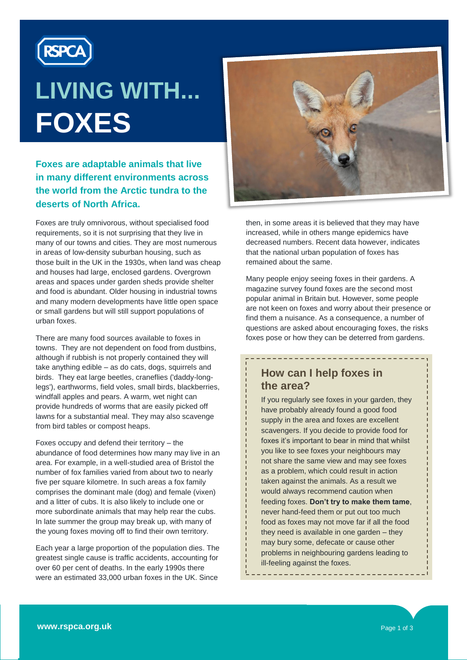

# **LIVING WITH... FOXES**

#### **Foxes are adaptable animals that live in many different environments across the world from the Arctic tundra to the deserts of North Africa.**

Foxes are truly omnivorous, without specialised food requirements, so it is not surprising that they live in many of our towns and cities. They are most numerous in areas of low-density suburban housing, such as those built in the UK in the 1930s, when land was cheap and houses had large, enclosed gardens. Overgrown areas and spaces under garden sheds provide shelter and food is abundant. Older housing in industrial towns and many modern developments have little open space or small gardens but will still support populations of urban foxes.

There are many food sources available to foxes in towns. They are not dependent on food from dustbins, although if rubbish is not properly contained they will take anything edible – as do cats, dogs, squirrels and birds. They eat large beetles, craneflies ('daddy-longlegs'), earthworms, field voles, small birds, blackberries, windfall apples and pears. A warm, wet night can provide hundreds of worms that are easily picked off lawns for a substantial meal. They may also scavenge from bird tables or compost heaps.

Foxes occupy and defend their territory – the abundance of food determines how many may live in an area. For example, in a well-studied area of Bristol the number of fox families varied from about two to nearly five per square kilometre. In such areas a fox family comprises the dominant male (dog) and female (vixen) and a litter of cubs. It is also likely to include one or more subordinate animals that may help rear the cubs. In late summer the group may break up, with many of the young foxes moving off to find their own territory.

Each year a large proportion of the population dies. The greatest single cause is traffic accidents, accounting for over 60 per cent of deaths. In the early 1990s there were an estimated 33,000 urban foxes in the UK. Since



then, in some areas it is believed that they may have increased, while in others mange epidemics have decreased numbers. Recent data however, indicates that the national urban population of foxes has remained about the same.

Many people enjoy seeing foxes in their gardens. A magazine survey found foxes are the second most popular animal in Britain but. However, some people are not keen on foxes and worry about their presence or find them a nuisance. As a consequence, a number of questions are asked about encouraging foxes, the risks foxes pose or how they can be deterred from gardens.

## **How can I help foxes in the area?**

If you regularly see foxes in your garden, they have probably already found a good food supply in the area and foxes are excellent scavengers. If you decide to provide food for foxes it's important to bear in mind that whilst you like to see foxes your neighbours may not share the same view and may see foxes as a problem, which could result in action taken against the animals. As a result we would always recommend caution when feeding foxes. **Don't try to make them tame**, never hand-feed them or put out too much food as foxes may not move far if all the food they need is available in one garden – they may bury some, defecate or cause other problems in neighbouring gardens leading to ill-feeling against the foxes.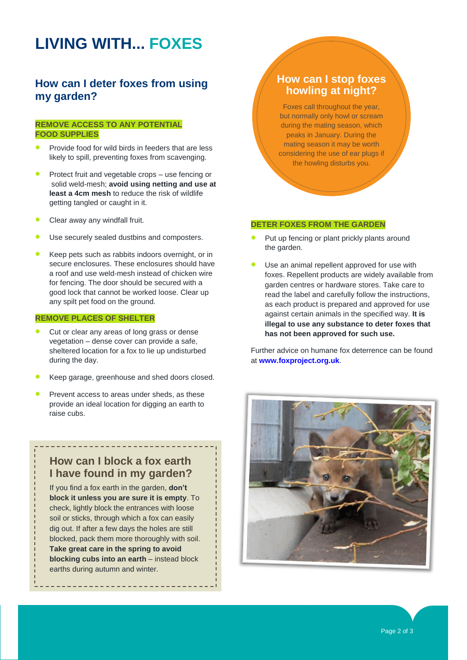# **LIVING WITH... FOXES**

#### **How can I deter foxes from using my garden?**

#### **REMOVE ACCESS TO ANY POTENTIAL FOOD SUPPLIES**

- Provide food for wild birds in feeders that are less likely to spill, preventing foxes from scavenging.
- Protect fruit and vegetable crops use fencing or solid weld-mesh; **avoid using netting and use at least a 4cm mesh** to reduce the risk of wildlife getting tangled or caught in it.
- Clear away any windfall fruit.
- Use securely sealed dustbins and composters.
- Keep pets such as rabbits indoors overnight, or in secure enclosures. These enclosures should have a roof and use weld-mesh instead of chicken wire for fencing. The door should be secured with a good lock that cannot be worked loose. Clear up any spilt pet food on the ground.

#### **REMOVE PLACES OF SHELTER**

- Cut or clear any areas of long grass or dense vegetation – dense cover can provide a safe, sheltered location for a fox to lie up undisturbed during the day.
- Keep garage, greenhouse and shed doors closed.
- Prevent access to areas under sheds, as these provide an ideal location for digging an earth to raise cubs.

#### **How can I block a fox earth I have found in my garden?**

If you find a fox earth in the garden, **don't block it unless you are sure it is empty**. To check, lightly block the entrances with loose soil or sticks, through which a fox can easily dig out. If after a few days the holes are still blocked, pack them more thoroughly with soil. **Take great care in the spring to avoid blocking cubs into an earth** – instead block earths during autumn and winter.

#### **How can I stop foxes howling at night?**

Foxes call throughout the year, but normally only howl or scream during the mating season, which peaks in January. During the mating season it may be worth considering the use of ear plugs if the howling disturbs you.

#### **DETER FOXES FROM THE GARDEN**

- Put up fencing or plant prickly plants around the garden.
- Use an animal repellent approved for use with foxes. Repellent products are widely available from garden centres or hardware stores. Take care to read the label and carefully follow the instructions, as each product is prepared and approved for use against certain animals in the specified way. **It is illegal to use any substance to deter foxes that has not been approved for such use.**

Further advice on humane fox deterrence can be found at **[www.foxproject.org.uk](http://www.foxproject.org.uk/)**.